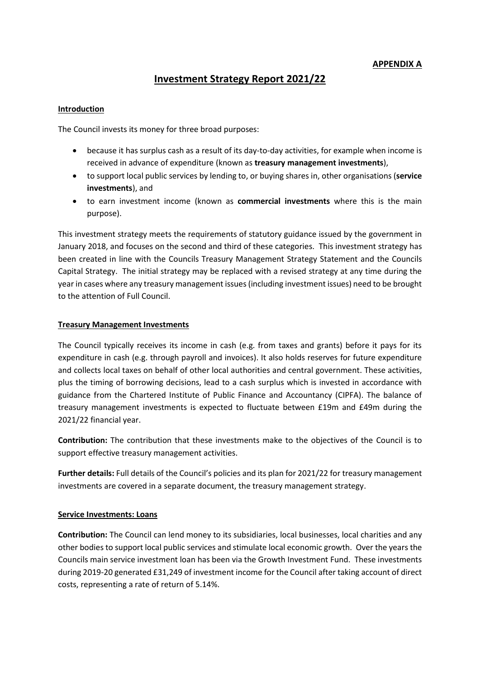# **APPENDIX A**

# **Investment Strategy Report 2021/22**

#### **Introduction**

The Council invests its money for three broad purposes:

- because it has surplus cash as a result of its day-to-day activities, for example when income is received in advance of expenditure (known as **treasury management investments**),
- to support local public services by lending to, or buying shares in, other organisations (**service investments**), and
- to earn investment income (known as **commercial investments** where this is the main purpose).

This investment strategy meets the requirements of statutory guidance issued by the government in January 2018, and focuses on the second and third of these categories. This investment strategy has been created in line with the Councils Treasury Management Strategy Statement and the Councils Capital Strategy. The initial strategy may be replaced with a revised strategy at any time during the year in cases where any treasury management issues (including investment issues) need to be brought to the attention of Full Council.

#### **Treasury Management Investments**

The Council typically receives its income in cash (e.g. from taxes and grants) before it pays for its expenditure in cash (e.g. through payroll and invoices). It also holds reserves for future expenditure and collects local taxes on behalf of other local authorities and central government. These activities, plus the timing of borrowing decisions, lead to a cash surplus which is invested in accordance with guidance from the Chartered Institute of Public Finance and Accountancy (CIPFA). The balance of treasury management investments is expected to fluctuate between £19m and £49m during the 2021/22 financial year.

**Contribution:** The contribution that these investments make to the objectives of the Council is to support effective treasury management activities.

**Further details:** Full details of the Council's policies and its plan for 2021/22 for treasury management investments are covered in a separate document, the treasury management strategy.

#### **Service Investments: Loans**

**Contribution:** The Council can lend money to its subsidiaries, local businesses, local charities and any other bodies to support local public services and stimulate local economic growth. Over the years the Councils main service investment loan has been via the Growth Investment Fund. These investments during 2019-20 generated £31,249 of investment income for the Council after taking account of direct costs, representing a rate of return of 5.14%.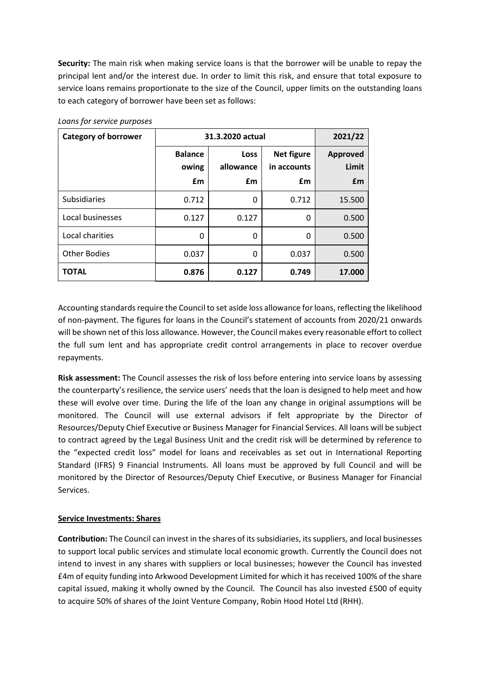**Security:** The main risk when making service loans is that the borrower will be unable to repay the principal lent and/or the interest due. In order to limit this risk, and ensure that total exposure to service loans remains proportionate to the size of the Council, upper limits on the outstanding loans to each category of borrower have been set as follows:

| <b>Category of borrower</b> | 31.3.2020 actual              |                                |                                        | 2021/22                        |
|-----------------------------|-------------------------------|--------------------------------|----------------------------------------|--------------------------------|
|                             | <b>Balance</b><br>owing<br>£m | <b>Loss</b><br>allowance<br>£m | <b>Net figure</b><br>in accounts<br>£m | <b>Approved</b><br>Limit<br>£m |
| <b>Subsidiaries</b>         | 0.712                         | 0                              | 0.712                                  | 15.500                         |
| Local businesses            | 0.127                         | 0.127                          | 0                                      | 0.500                          |
| Local charities             | 0                             | 0                              | 0                                      | 0.500                          |
| <b>Other Bodies</b>         | 0.037                         | 0                              | 0.037                                  | 0.500                          |
| <b>TOTAL</b>                | 0.876                         | 0.127                          | 0.749                                  | 17.000                         |

*Loans for service purposes*

Accounting standards require the Council to set aside loss allowance for loans, reflecting the likelihood of non-payment. The figures for loans in the Council's statement of accounts from 2020/21 onwards will be shown net of this loss allowance. However, the Council makes every reasonable effort to collect the full sum lent and has appropriate credit control arrangements in place to recover overdue repayments.

**Risk assessment:** The Council assesses the risk of loss before entering into service loans by assessing the counterparty's resilience, the service users' needs that the loan is designed to help meet and how these will evolve over time. During the life of the loan any change in original assumptions will be monitored. The Council will use external advisors if felt appropriate by the Director of Resources/Deputy Chief Executive or Business Manager for Financial Services. All loans will be subject to contract agreed by the Legal Business Unit and the credit risk will be determined by reference to the "expected credit loss" model for loans and receivables as set out in International Reporting Standard (IFRS) 9 Financial Instruments. All loans must be approved by full Council and will be monitored by the Director of Resources/Deputy Chief Executive, or Business Manager for Financial Services.

#### **Service Investments: Shares**

**Contribution:** The Council can invest in the shares of its subsidiaries, its suppliers, and local businesses to support local public services and stimulate local economic growth. Currently the Council does not intend to invest in any shares with suppliers or local businesses; however the Council has invested £4m of equity funding into Arkwood Development Limited for which it has received 100% of the share capital issued, making it wholly owned by the Council. The Council has also invested £500 of equity to acquire 50% of shares of the Joint Venture Company, Robin Hood Hotel Ltd (RHH).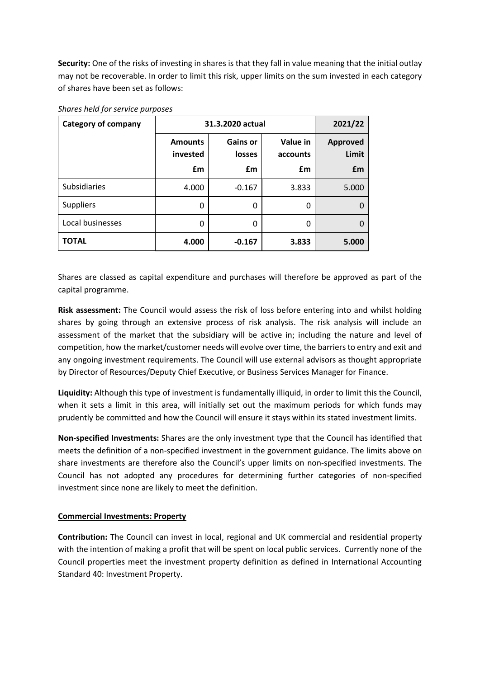**Security:** One of the risks of investing in shares is that they fall in value meaning that the initial outlay may not be recoverable. In order to limit this risk, upper limits on the sum invested in each category of shares have been set as follows:

| <b>Category of company</b> | 31.3.2020 actual                 |                                 |                            | 2021/22                        |
|----------------------------|----------------------------------|---------------------------------|----------------------------|--------------------------------|
|                            | <b>Amounts</b><br>invested<br>£m | <b>Gains or</b><br>losses<br>£m | Value in<br>accounts<br>£m | <b>Approved</b><br>Limit<br>£m |
| <b>Subsidiaries</b>        | 4.000                            | $-0.167$                        | 3.833                      | 5.000                          |
| <b>Suppliers</b>           | 0                                | 0                               | 0                          | $\Omega$                       |
| Local businesses           | 0                                | 0                               | 0                          | $\Omega$                       |
| <b>TOTAL</b>               | 4.000                            | $-0.167$                        | 3.833                      | 5.000                          |

## *Shares held for service purposes*

Shares are classed as capital expenditure and purchases will therefore be approved as part of the capital programme.

**Risk assessment:** The Council would assess the risk of loss before entering into and whilst holding shares by going through an extensive process of risk analysis. The risk analysis will include an assessment of the market that the subsidiary will be active in; including the nature and level of competition, how the market/customer needs will evolve over time, the barriers to entry and exit and any ongoing investment requirements. The Council will use external advisors as thought appropriate by Director of Resources/Deputy Chief Executive, or Business Services Manager for Finance.

**Liquidity:** Although this type of investment is fundamentally illiquid, in order to limit this the Council, when it sets a limit in this area, will initially set out the maximum periods for which funds may prudently be committed and how the Council will ensure it stays within its stated investment limits.

**Non-specified Investments:** Shares are the only investment type that the Council has identified that meets the definition of a non-specified investment in the government guidance. The limits above on share investments are therefore also the Council's upper limits on non-specified investments. The Council has not adopted any procedures for determining further categories of non-specified investment since none are likely to meet the definition.

# **Commercial Investments: Property**

**Contribution:** The Council can invest in local, regional and UK commercial and residential property with the intention of making a profit that will be spent on local public services. Currently none of the Council properties meet the investment property definition as defined in International Accounting Standard 40: Investment Property.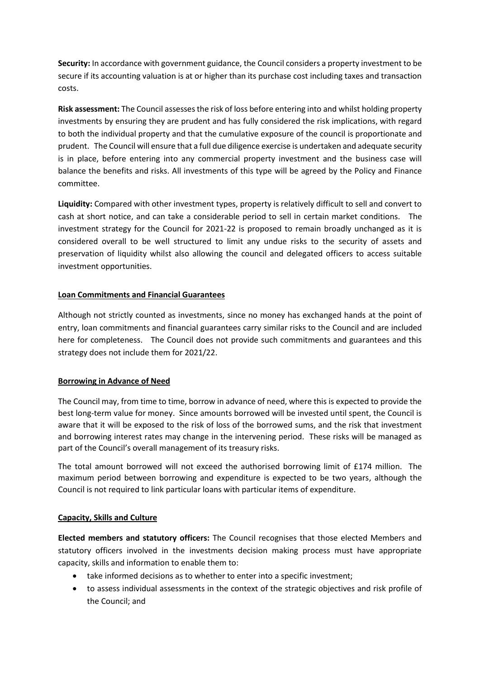**Security:** In accordance with government guidance, the Council considers a property investment to be secure if its accounting valuation is at or higher than its purchase cost including taxes and transaction costs.

**Risk assessment:** The Council assesses the risk of loss before entering into and whilst holding property investments by ensuring they are prudent and has fully considered the risk implications, with regard to both the individual property and that the cumulative exposure of the council is proportionate and prudent. The Council will ensure that a full due diligence exercise is undertaken and adequate security is in place, before entering into any commercial property investment and the business case will balance the benefits and risks. All investments of this type will be agreed by the Policy and Finance committee.

**Liquidity:** Compared with other investment types, property is relatively difficult to sell and convert to cash at short notice, and can take a considerable period to sell in certain market conditions. The investment strategy for the Council for 2021-22 is proposed to remain broadly unchanged as it is considered overall to be well structured to limit any undue risks to the security of assets and preservation of liquidity whilst also allowing the council and delegated officers to access suitable investment opportunities.

# **Loan Commitments and Financial Guarantees**

Although not strictly counted as investments, since no money has exchanged hands at the point of entry, loan commitments and financial guarantees carry similar risks to the Council and are included here for completeness. The Council does not provide such commitments and guarantees and this strategy does not include them for 2021/22.

#### **Borrowing in Advance of Need**

The Council may, from time to time, borrow in advance of need, where this is expected to provide the best long-term value for money. Since amounts borrowed will be invested until spent, the Council is aware that it will be exposed to the risk of loss of the borrowed sums, and the risk that investment and borrowing interest rates may change in the intervening period. These risks will be managed as part of the Council's overall management of its treasury risks.

The total amount borrowed will not exceed the authorised borrowing limit of £174 million. The maximum period between borrowing and expenditure is expected to be two years, although the Council is not required to link particular loans with particular items of expenditure.

#### **Capacity, Skills and Culture**

**Elected members and statutory officers:** The Council recognises that those elected Members and statutory officers involved in the investments decision making process must have appropriate capacity, skills and information to enable them to:

- take informed decisions as to whether to enter into a specific investment;
- to assess individual assessments in the context of the strategic objectives and risk profile of the Council; and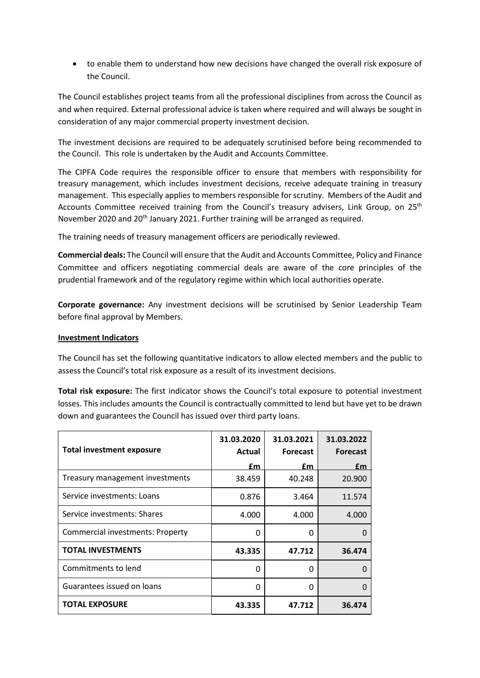to enable them to understand how new decisions have changed the overall risk exposure of the Council.

The Council establishes project teams from all the professional disciplines from across the Council as and when required. External professional advice is taken where required and will always be sought in consideration of any major commercial property investment decision.

The investment decisions are required to be adequately scrutinised before being recommended to the Council. This role is undertaken by the Audit and Accounts Committee.

The CIPFA Code requires the responsible officer to ensure that members with responsibility for treasury management, which includes investment decisions, receive adequate training in treasury management. This especially applies to members responsible for scrutiny. Members of the Audit and Accounts Committee received training from the Council's treasury advisers, Link Group, on 25<sup>th</sup> November 2020 and 20<sup>th</sup> January 2021. Further training will be arranged as required.

The training needs of treasury management officers are periodically reviewed.

**Commercial deals:** The Council will ensure that the Audit and Accounts Committee, Policy and Finance Committee and officers negotiating commercial deals are aware of the core principles of the prudential framework and of the regulatory regime within which local authorities operate.

**Corporate governance:** Any investment decisions will be scrutinised by Senior Leadership Team before final approval by Members.

## **Investment Indicators**

The Council has set the following quantitative indicators to allow elected members and the public to assess the Council's total risk exposure as a result of its investment decisions.

**Total risk exposure:** The first indicator shows the Council's total exposure to potential investment losses. This includes amounts the Council is contractually committed to lend but have yet to be drawn down and guarantees the Council has issued over third party loans.

| <b>Total investment exposure</b>        | 31.03.2020<br>Actual | 31.03.2021<br><b>Forecast</b> | 31.03.2022<br><b>Forecast</b> |
|-----------------------------------------|----------------------|-------------------------------|-------------------------------|
|                                         | £m                   | £m                            | £m                            |
| Treasury management investments         | 38.459               | 40.248                        | 20.900                        |
| Service investments: Loans              | 0.876                | 3.464                         | 11.574                        |
| Service investments: Shares             | 4.000                | 4.000                         | 4.000                         |
| <b>Commercial investments: Property</b> | 0                    | 0                             |                               |
| <b>TOTAL INVESTMENTS</b>                | 43.335               | 47.712                        | 36.474                        |
| Commitments to lend                     | O                    | U                             | n                             |
| Guarantees issued on loans              | 0                    | 0                             | O                             |
| <b>TOTAL EXPOSURE</b>                   | 43.335               | 47.712                        | 36.474                        |